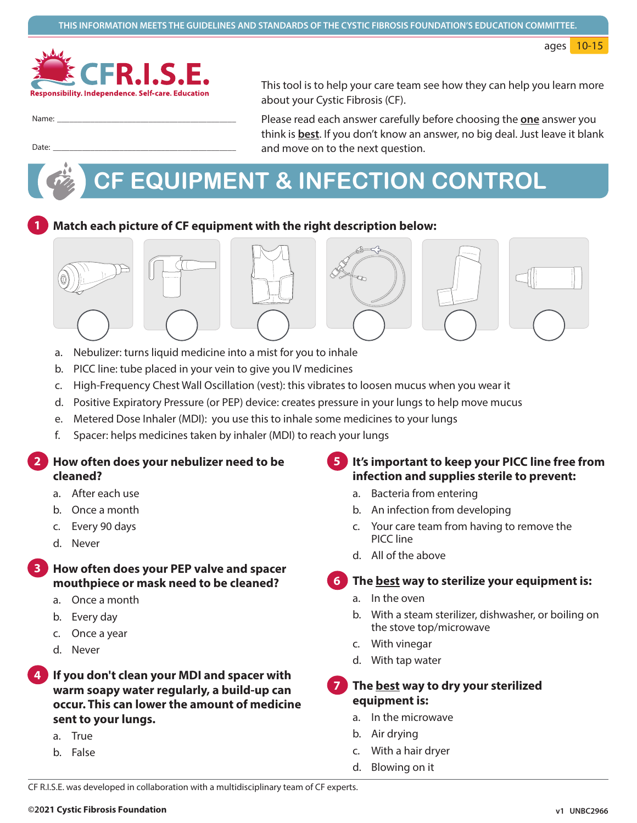ages 10-15



Name:

Date:

This tool is to help your care team see how they can help you learn more about your Cystic Fibrosis (CF).

Please read each answer carefully before choosing the one answer you think is **best**. If you don't know an answer, no big deal. Just leave it blank and move on to the next question.

# CF EQUIPMENT & INFECTION CONTROL



Match each picture of CF equipment with the right description below:



- Nebulizer: turns liquid medicine into a mist for you to inhale  $a<sub>r</sub>$
- b. PICC line: tube placed in your vein to give you IV medicines
- c. High-Frequency Chest Wall Oscillation (vest): this vibrates to loosen mucus when you wear it
- d. Positive Expiratory Pressure (or PEP) device: creates pressure in your lungs to help move mucus
- e. Metered Dose Inhaler (MDI): you use this to inhale some medicines to your lungs
- f. Spacer: helps medicines taken by inhaler (MDI) to reach your lungs

How often does your nebulizer need to be cleaned?

- a. After each use
- b. Once a month
- c. Every 90 days
- d. Never

#### How often does your PEP valve and spacer mouthpiece or mask need to be cleaned?

- a. Once a month
- b. Every day
- c. Once a year
- d. Never

If you don't clean your MDI and spacer with warm soapy water regularly, a build-up can occur. This can lower the amount of medicine sent to your lungs.

- a. True
- b. False

### It's important to keep your PICC line free from infection and supplies sterile to prevent:

- a. Bacteria from entering
- b. An infection from developing
- c. Your care team from having to remove the PICC line
- d. All of the above

### The <u>best</u> way to sterilize your equipment is:

- a. In the oven
- b. With a steam sterilizer, dishwasher, or boiling on the stove top/microwave
- c. With vinegar
- d. With tap water

#### The best way to dry your sterilized equipment is:

- a. In the microwave
- b. Air drying
- With a hair dryer  $\mathsf{C}$ .
- d. Blowing on it

CF R.I.S.E. was developed in collaboration with a multidisciplinary team of CF experts.